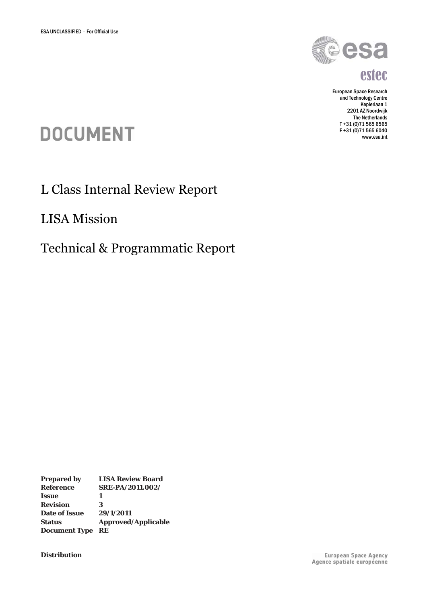

## estec

European Space Research and Technology Centre Keplerlaan 1 2201 AZ Noordwijk The Netherlands T +31 (0)71 565 6565 F +31 (0)71 565 6040 www.esa.int

# **DOCUMENT**

L Class Internal Review Report

LISA Mission

Technical & Programmatic Report

**Prepared by LISA Review Board Reference SRE-PA/2011.002/ Issue 1 Revision 3 Date of Issue 29/1/2011 Status Approved/Applicable Document Type RE**

**Distribution**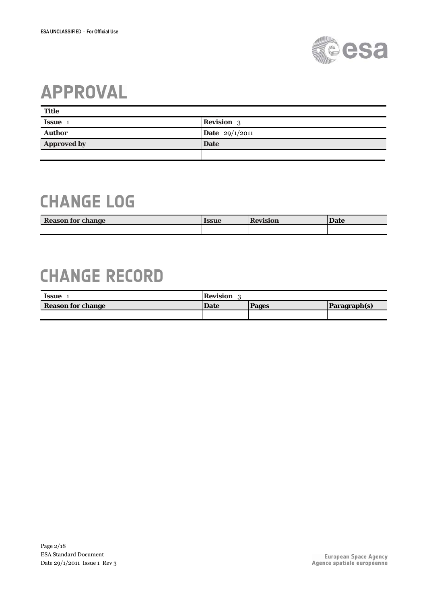

## **APPROVAL**

| <b>Title</b>       |                         |
|--------------------|-------------------------|
| <b>Issue</b>       | <b>Revision</b> 3       |
| <b>Author</b>      | <b>Date</b> $29/1/2011$ |
| <b>Approved by</b> | <b>Date</b>             |
|                    |                         |

## **CHANGE LOG**

| <b>Reason for change</b> | lssue | <b>Revision</b> | <b>Date</b> |
|--------------------------|-------|-----------------|-------------|
|                          |       |                 |             |

## **CHANGE RECORD**

| Issue                    | Revision |              |              |  |
|--------------------------|----------|--------------|--------------|--|
| <b>Reason for change</b> | Date     | <b>Pages</b> | Paragraph(s) |  |
|                          |          |              |              |  |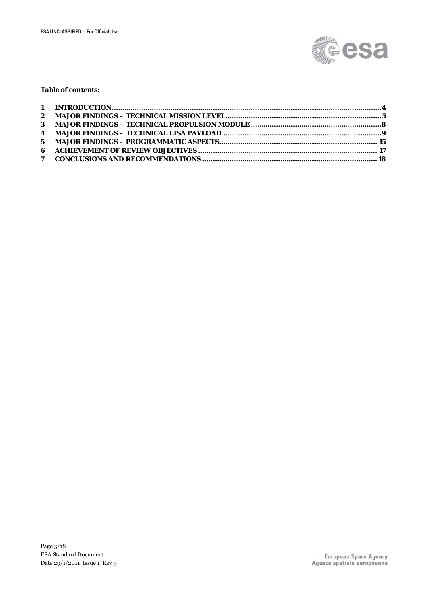

#### **Table of contents:**

| 3 MAJOR FINDINGS – TECHNICAL PROPULSION MODULE ……………………………………………………………………………………… |  |
|----------------------------------------------------------------------------------|--|
|                                                                                  |  |
|                                                                                  |  |
|                                                                                  |  |
|                                                                                  |  |
|                                                                                  |  |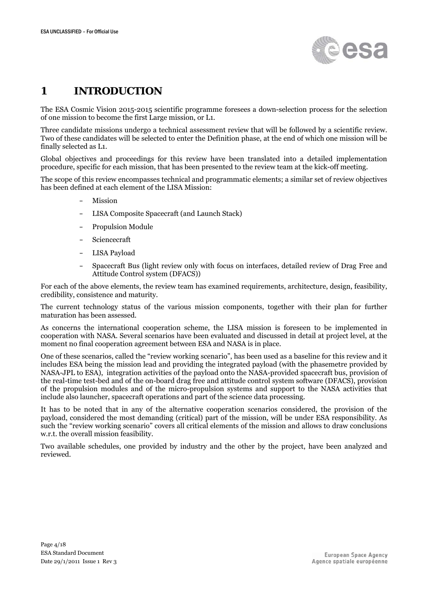

## <span id="page-3-0"></span>**1** 0B**INTRODUCTION**

The ESA Cosmic Vision 2015-2015 scientific programme foresees a down-selection process for the selection of one mission to become the first Large mission, or L1.

Three candidate missions undergo a technical assessment review that will be followed by a scientific review. Two of these candidates will be selected to enter the Definition phase, at the end of which one mission will be finally selected as L1.

Global objectives and proceedings for this review have been translated into a detailed implementation procedure, specific for each mission, that has been presented to the review team at the kick-off meeting.

The scope of this review encompasses technical and programmatic elements; a similar set of review objectives has been defined at each element of the LISA Mission:

- Mission
- LISA Composite Spacecraft (and Launch Stack)
- Propulsion Module
- Sciencecraft
- LISA Payload
- Spacecraft Bus (light review only with focus on interfaces, detailed review of Drag Free and Attitude Control system (DFACS))

For each of the above elements, the review team has examined requirements, architecture, design, feasibility, credibility, consistence and maturity.

The current technology status of the various mission components, together with their plan for further maturation has been assessed.

As concerns the international cooperation scheme, the LISA mission is foreseen to be implemented in cooperation with NASA. Several scenarios have been evaluated and discussed in detail at project level, at the moment no final cooperation agreement between ESA and NASA is in place.

One of these scenarios, called the "review working scenario", has been used as a baseline for this review and it includes ESA being the mission lead and providing the integrated payload (with the phasemetre provided by NASA-JPL to ESA), integration activities of the payload onto the NASA-provided spacecraft bus, provision of the real-time test-bed and of the on-board drag free and attitude control system software (DFACS), provision of the propulsion modules and of the micro-propulsion systems and support to the NASA activities that include also launcher, spacecraft operations and part of the science data processing.

It has to be noted that in any of the alternative cooperation scenarios considered, the provision of the payload, considered the most demanding (critical) part of the mission, will be under ESA responsibility. As such the "review working scenario" covers all critical elements of the mission and allows to draw conclusions w.r.t. the overall mission feasibility.

Two available schedules, one provided by industry and the other by the project, have been analyzed and reviewed.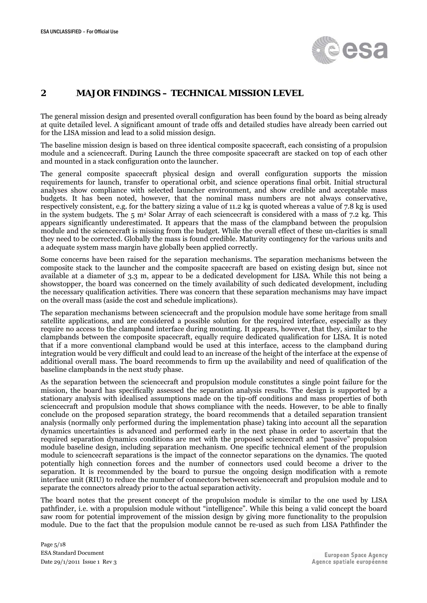

### <span id="page-4-0"></span>**2** 1B**MAJOR FINDINGS – TECHNICAL MISSION LEVEL**

The general mission design and presented overall configuration has been found by the board as being already at quite detailed level. A significant amount of trade offs and detailed studies have already been carried out for the LISA mission and lead to a solid mission design.

The baseline mission design is based on three identical composite spacecraft, each consisting of a propulsion module and a sciencecraft. During Launch the three composite spacecraft are stacked on top of each other and mounted in a stack configuration onto the launcher.

The general composite spacecraft physical design and overall configuration supports the mission requirements for launch, transfer to operational orbit, and science operations final orbit. Initial structural analyses show compliance with selected launcher environment, and show credible and acceptable mass budgets. It has been noted, however, that the nominal mass numbers are not always conservative, respectively consistent, e.g. for the battery sizing a value of 11.2 kg is quoted whereas a value of 7.8 kg is used in the system budgets. The  $5 \text{ m}^2$  Solar Array of each sciencecraft is considered with a mass of 7.2 kg. This appears significantly underestimated. It appears that the mass of the clampband between the propulsion module and the sciencecraft is missing from the budget. While the overall effect of these un-clarities is small they need to be corrected. Globally the mass is found credible. Maturity contingency for the various units and a adequate system mass margin have globally been applied correctly.

Some concerns have been raised for the separation mechanisms. The separation mechanisms between the composite stack to the launcher and the composite spacecraft are based on existing design but, since not available at a diameter of 3.3 m, appear to be a dedicated development for LISA. While this not being a showstopper, the board was concerned on the timely availability of such dedicated development, including the necessary qualification activities. There was concern that these separation mechanisms may have impact on the overall mass (aside the cost and schedule implications).

The separation mechanisms between sciencecraft and the propulsion module have some heritage from small satellite applications, and are considered a possible solution for the required interface, especially as they require no access to the clampband interface during mounting. It appears, however, that they, similar to the clampbands between the composite spacecraft, equally require dedicated qualification for LISA. It is noted that if a more conventional clampband would be used at this interface, access to the clampband during integration would be very difficult and could lead to an increase of the height of the interface at the expense of additional overall mass. The board recommends to firm up the availability and need of qualification of the baseline clampbands in the next study phase.

As the separation between the sciencecraft and propulsion module constitutes a single point failure for the mission, the board has specifically assessed the separation analysis results. The design is supported by a stationary analysis with idealised assumptions made on the tip-off conditions and mass properties of both sciencecraft and propulsion module that shows compliance with the needs. However, to be able to finally conclude on the proposed separation strategy, the board recommends that a detailed separation transient analysis (normally only performed during the implementation phase) taking into account all the separation dynamics uncertainties is advanced and performed early in the next phase in order to ascertain that the required separation dynamics conditions are met with the proposed sciencecraft and "passive" propulsion module baseline design, including separation mechanism. One specific technical element of the propulsion module to sciencecraft separations is the impact of the connector separations on the dynamics. The quoted potentially high connection forces and the number of connectors used could become a driver to the separation. It is recommended by the board to pursue the ongoing design modification with a remote interface unit (RIU) to reduce the number of connectors between sciencecraft and propulsion module and to separate the connectors already prior to the actual separation activity.

The board notes that the present concept of the propulsion module is similar to the one used by LISA pathfinder, i.e. with a propulsion module without "intelligence". While this being a valid concept the board saw room for potential improvement of the mission design by giving more functionality to the propulsion module. Due to the fact that the propulsion module cannot be re-used as such from LISA Pathfinder the

Page 5/18 ESA Standard Document Date 29/1/2011 Issue 1 Rev 3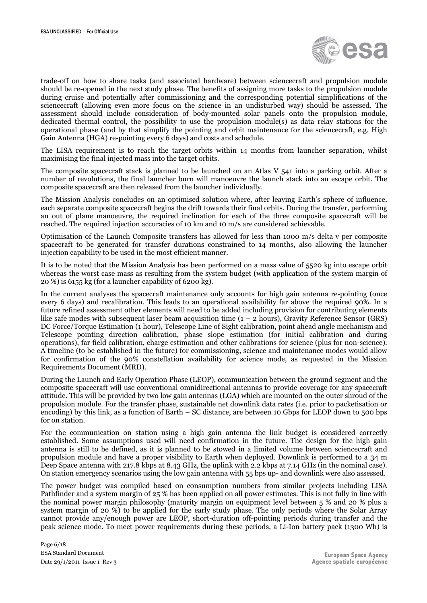

trade-off on how to share tasks (and associated hardware) between sciencecraft and propulsion module should be re-opened in the next study phase. The benefits of assigning more tasks to the propulsion module during cruise and potentially after commissioning and the corresponding potential simplifications of the sciencecraft (allowing even more focus on the science in an undisturbed way) should be assessed. The assessment should include consideration of body-mounted solar panels onto the propulsion module, dedicated thermal control, the possibility to use the propulsion module(s) as data relay stations for the operational phase (and by that simplify the pointing and orbit maintenance for the sciencecraft, e.g. High Gain Antenna (HGA) re-pointing every 6 days) and costs and schedule.

The LISA requirement is to reach the target orbits within 14 months from launcher separation, whilst maximising the final injected mass into the target orbits.

The composite spacecraft stack is planned to be launched on an Atlas V 541 into a parking orbit. After a number of revolutions, the final launcher burn will manoeuvre the launch stack into an escape orbit. The composite spacecraft are then released from the launcher individually.

The Mission Analysis concludes on an optimised solution where, after leaving Earth's sphere of influence, each separate composite spacecraft begins the drift towards their final orbits. During the transfer, performing an out of plane manoeuvre, the required inclination for each of the three composite spacecraft will be reached. The required injection accuracies of 10 km and 10 m/s are considered achievable.

Optimisation of the Launch Composite transfers has allowed for less than 1000 m/s delta v per composite spacecraft to be generated for transfer durations constrained to 14 months, also allowing the launcher injection capability to be used in the most efficient manner.

It is to be noted that the Mission Analysis has been performed on a mass value of 5520 kg into escape orbit whereas the worst case mass as resulting from the system budget (with application of the system margin of 20 %) is 6155 kg (for a launcher capability of 6200 kg).

In the current analyses the spacecraft maintenance only accounts for high gain antenna re-pointing (once every 6 days) and recalibration. This leads to an operational availability far above the required 90%. In a future refined assessment other elements will need to be added including provision for contributing elements like safe modes with subsequent laser beam acquisition time  $(1 – 2 hours)$ , Gravity Reference Sensor (GRS) DC Force/Torque Estimation (1 hour), Telescope Line of Sight calibration, point ahead angle mechanism and Telescope pointing direction calibration, phase slope estimation (for initial calibration and during operations), far field calibration, charge estimation and other calibrations for science (plus for non-science). A timeline (to be established in the future) for commissioning, science and maintenance modes would allow for confirmation of the 90% constellation availability for science mode, as requested in the Mission Requirements Document (MRD).

During the Launch and Early Operation Phase (LEOP), communication between the ground segment and the composite spacecraft will use conventional omnidirectional antennas to provide coverage for any spacecraft attitude. This will be provided by two low gain antennas (LGA) which are mounted on the outer shroud of the propulsion module. For the transfer phase, sustainable net downlink data rates (i.e. prior to packetisation or encoding) by this link, as a function of Earth – SC distance, are between 10 Gbps for LEOP down to 500 bps for on station.

For the communication on station using a high gain antenna the link budget is considered correctly established. Some assumptions used will need confirmation in the future. The design for the high gain antenna is still to be defined, as it is planned to be stowed in a limited volume between sciencecraft and propulsion module and have a proper visibility to Earth when deployed. Downlink is performed to a 34 m Deep Space antenna with 217.8 kbps at 8.43 GHz, the uplink with 2.2 kbps at 7.14 GHz (in the nominal case). On station emergency scenarios using the low gain antenna with 55 bps up- and downlink were also assessed.

The power budget was compiled based on consumption numbers from similar projects including LISA Pathfinder and a system margin of 25 % has been applied on all power estimates. This is not fully in line with the nominal power margin philosophy (maturity margin on equipment level between 5 % and 20 % plus a system margin of 20 %) to be applied for the early study phase. The only periods where the Solar Array cannot provide any/enough power are LEOP, short-duration off-pointing periods during transfer and the peak science mode. To meet power requirements during these periods, a Li-Ion battery pack (1300 Wh) is

Page 6/18 ESA Standard Document Date 29/1/2011 Issue 1 Rev 3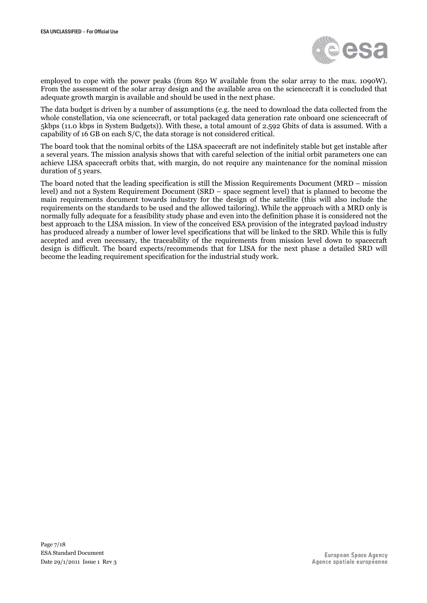

employed to cope with the power peaks (from 850 W available from the solar array to the max. 1090W). From the assessment of the solar array design and the available area on the sciencecraft it is concluded that adequate growth margin is available and should be used in the next phase.

The data budget is driven by a number of assumptions (e.g. the need to download the data collected from the whole constellation, via one sciencecraft, or total packaged data generation rate onboard one sciencecraft of 5kbps (11.0 kbps in System Budgets)). With these, a total amount of 2.592 Gbits of data is assumed. With a capability of 16 GB on each S/C, the data storage is not considered critical.

The board took that the nominal orbits of the LISA spacecraft are not indefinitely stable but get instable after a several years. The mission analysis shows that with careful selection of the initial orbit parameters one can achieve LISA spacecraft orbits that, with margin, do not require any maintenance for the nominal mission duration of 5 years.

The board noted that the leading specification is still the Mission Requirements Document (MRD – mission level) and not a System Requirement Document (SRD – space segment level) that is planned to become the main requirements document towards industry for the design of the satellite (this will also include the requirements on the standards to be used and the allowed tailoring). While the approach with a MRD only is normally fully adequate for a feasibility study phase and even into the definition phase it is considered not the best approach to the LISA mission. In view of the conceived ESA provision of the integrated payload industry has produced already a number of lower level specifications that will be linked to the SRD. While this is fully accepted and even necessary, the traceability of the requirements from mission level down to spacecraft design is difficult. The board expects/recommends that for LISA for the next phase a detailed SRD will become the leading requirement specification for the industrial study work.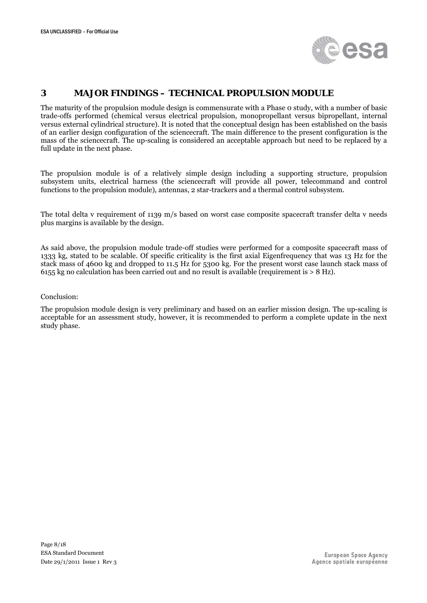

### <span id="page-7-0"></span>**3** 2B**MAJOR FINDINGS – TECHNICAL PROPULSION MODULE**

The maturity of the propulsion module design is commensurate with a Phase 0 study, with a number of basic trade-offs performed (chemical versus electrical propulsion, monopropellant versus bipropellant, internal versus external cylindrical structure). It is noted that the conceptual design has been established on the basis of an earlier design configuration of the sciencecraft. The main difference to the present configuration is the mass of the sciencecraft. The up-scaling is considered an acceptable approach but need to be replaced by a full update in the next phase.

The propulsion module is of a relatively simple design including a supporting structure, propulsion subsystem units, electrical harness (the sciencecraft will provide all power, telecommand and control functions to the propulsion module), antennas, 2 star-trackers and a thermal control subsystem.

The total delta v requirement of 1139 m/s based on worst case composite spacecraft transfer delta v needs plus margins is available by the design.

As said above, the propulsion module trade-off studies were performed for a composite spacecraft mass of 1333 kg, stated to be scalable. Of specific criticality is the first axial Eigenfrequency that was 13 Hz for the stack mass of 4600 kg and dropped to 11.5 Hz for 5300 kg. For the present worst case launch stack mass of 6155 kg no calculation has been carried out and no result is available (requirement is > 8 Hz).

#### Conclusion:

The propulsion module design is very preliminary and based on an earlier mission design. The up-scaling is acceptable for an assessment study, however, it is recommended to perform a complete update in the next study phase.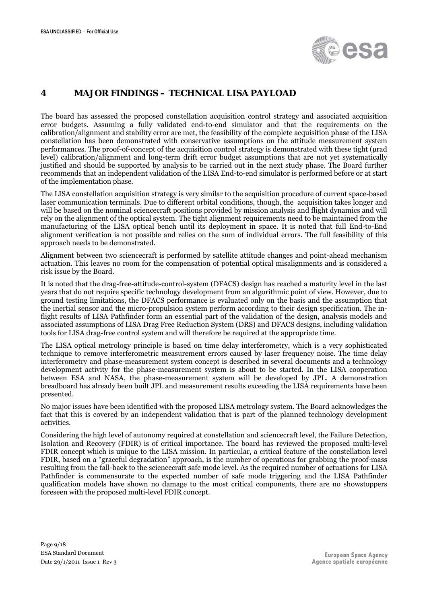

## <span id="page-8-0"></span>**4** 3B**MAJOR FINDINGS – TECHNICAL LISA PAYLOAD**

The board has assessed the proposed constellation acquisition control strategy and associated acquisition error budgets. Assuming a fully validated end-to-end simulator and that the requirements on the calibration/alignment and stability error are met, the feasibility of the complete acquisition phase of the LISA constellation has been demonstrated with conservative assumptions on the attitude measurement system performances. The proof-of-concept of the acquisition control strategy is demonstrated with these tight (µrad level) calibration/alignment and long-term drift error budget assumptions that are not yet systematically justified and should be supported by analysis to be carried out in the next study phase. The Board further recommends that an independent validation of the LISA End-to-end simulator is performed before or at start of the implementation phase.

The LISA constellation acquisition strategy is very similar to the acquisition procedure of current space-based laser communication terminals. Due to different orbital conditions, though, the acquisition takes longer and will be based on the nominal sciencecraft positions provided by mission analysis and flight dynamics and will rely on the alignment of the optical system. The tight alignment requirements need to be maintained from the manufacturing of the LISA optical bench until its deployment in space. It is noted that full End-to-End alignment verification is not possible and relies on the sum of individual errors. The full feasibility of this approach needs to be demonstrated.

Alignment between two sciencecraft is performed by satellite attitude changes and point-ahead mechanism actuation. This leaves no room for the compensation of potential optical misalignments and is considered a risk issue by the Board.

It is noted that the drag-free-attitude-control-system (DFACS) design has reached a maturity level in the last years that do not require specific technology development from an algorithmic point of view. However, due to ground testing limitations, the DFACS performance is evaluated only on the basis and the assumption that the inertial sensor and the micro-propulsion system perform according to their design specification. The inflight results of LISA Pathfinder form an essential part of the validation of the design, analysis models and associated assumptions of LISA Drag Free Reduction System (DRS) and DFACS designs, including validation tools for LISA drag-free control system and will therefore be required at the appropriate time.

The LISA optical metrology principle is based on time delay interferometry, which is a very sophisticated technique to remove interferometric measurement errors caused by laser frequency noise. The time delay interferometry and phase-measurement system concept is described in several documents and a technology development activity for the phase-measurement system is about to be started. In the LISA cooperation between ESA and NASA, the phase-measurement system will be developed by JPL. A demonstration breadboard has already been built JPL and measurement results exceeding the LISA requirements have been presented.

No major issues have been identified with the proposed LISA metrology system. The Board acknowledges the fact that this is covered by an independent validation that is part of the planned technology development activities.

Considering the high level of autonomy required at constellation and sciencecraft level, the Failure Detection, Isolation and Recovery (FDIR) is of critical importance. The board has reviewed the proposed multi-level FDIR concept which is unique to the LISA mission. In particular, a critical feature of the constellation level FDIR, based on a "graceful degradation" approach, is the number of operations for grabbing the proof-mass resulting from the fall-back to the sciencecraft safe mode level. As the required number of actuations for LISA Pathfinder is commensurate to the expected number of safe mode triggering and the LISA Pathfinder qualification models have shown no damage to the most critical components, there are no showstoppers foreseen with the proposed multi-level FDIR concept.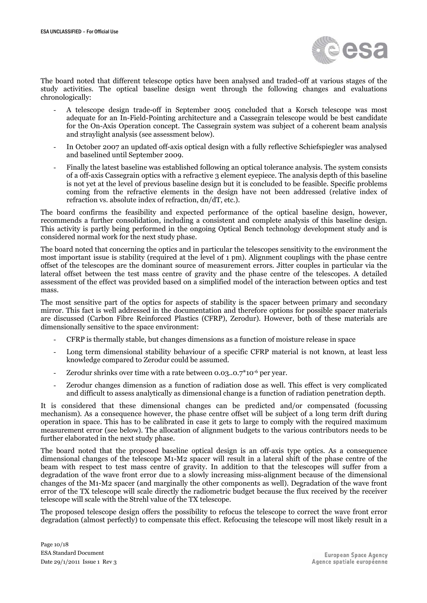

The board noted that different telescope optics have been analysed and traded-off at various stages of the study activities. The optical baseline design went through the following changes and evaluations chronologically:

- A telescope design trade-off in September 2005 concluded that a Korsch telescope was most adequate for an In-Field-Pointing architecture and a Cassegrain telescope would be best candidate for the On-Axis Operation concept. The Cassegrain system was subject of a coherent beam analysis and straylight analysis (see assessment below).
- In October 2007 an updated off-axis optical design with a fully reflective Schiefspiegler was analysed and baselined until September 2009.
- Finally the latest baseline was established following an optical tolerance analysis. The system consists of a off-axis Cassegrain optics with a refractive 3 element eyepiece. The analysis depth of this baseline is not yet at the level of previous baseline design but it is concluded to be feasible. Specific problems coming from the refractive elements in the design have not been addressed (relative index of refraction vs. absolute index of refraction, dn/dT, etc.).

The board confirms the feasibility and expected performance of the optical baseline design, however, recommends a further consolidation, including a consistent and complete analysis of this baseline design. This activity is partly being performed in the ongoing Optical Bench technology development study and is considered normal work for the next study phase.

The board noted that concerning the optics and in particular the telescopes sensitivity to the environment the most important issue is stability (required at the level of 1 pm). Alignment couplings with the phase centre offset of the telescopes are the dominant source of measurement errors. Jitter couples in particular via the lateral offset between the test mass centre of gravity and the phase centre of the telescopes. A detailed assessment of the effect was provided based on a simplified model of the interaction between optics and test mass.

The most sensitive part of the optics for aspects of stability is the spacer between primary and secondary mirror. This fact is well addressed in the documentation and therefore options for possible spacer materials are discussed (Carbon Fibre Reinforced Plastics (CFRP), Zerodur). However, both of these materials are dimensionally sensitive to the space environment:

- CFRP is thermally stable, but changes dimensions as a function of moisture release in space
- Long term dimensional stability behaviour of a specific CFRP material is not known, at least less knowledge compared to Zerodur could be assumed.
- Zerodur shrinks over time with a rate between  $0.03...0.7*10^{-6}$  per year.
- Zerodur changes dimension as a function of radiation dose as well. This effect is very complicated and difficult to assess analytically as dimensional change is a function of radiation penetration depth.

It is considered that these dimensional changes can be predicted and/or compensated (focussing mechanism). As a consequence however, the phase centre offset will be subject of a long term drift during operation in space. This has to be calibrated in case it gets to large to comply with the required maximum measurement error (see below). The allocation of alignment budgets to the various contributors needs to be further elaborated in the next study phase.

The board noted that the proposed baseline optical design is an off-axis type optics. As a consequence dimensional changes of the telescope M1-M2 spacer will result in a lateral shift of the phase centre of the beam with respect to test mass centre of gravity. In addition to that the telescopes will suffer from a degradation of the wave front error due to a slowly increasing miss-alignment because of the dimensional changes of the M1-M2 spacer (and marginally the other components as well). Degradation of the wave front error of the TX telescope will scale directly the radiometric budget because the flux received by the receiver telescope will scale with the Strehl value of the TX telescope.

The proposed telescope design offers the possibility to refocus the telescope to correct the wave front error degradation (almost perfectly) to compensate this effect. Refocusing the telescope will most likely result in a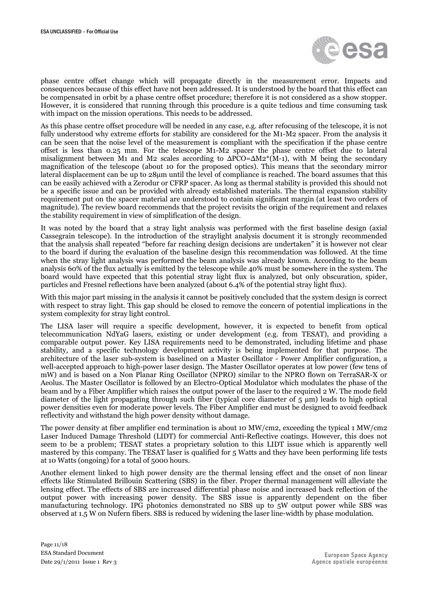

phase centre offset change which will propagate directly in the measurement error. Impacts and consequences because of this effect have not been addressed. It is understood by the board that this effect can be compensated in orbit by a phase centre offset procedure; therefore it is not considered as a show stopper. However, it is considered that running through this procedure is a quite tedious and time consuming task with impact on the mission operations. This needs to be addressed.

As this phase centre offset procedure will be needed in any case, e.g. after refocusing of the telescope, it is not fully understood why extreme efforts for stability are considered for the M1-M2 spacer. From the analysis it can be seen that the noise level of the measurement is compliant with the specification if the phase centre offset is less than 0.25 mm. For the telescope M1-M2 spacer the phase centre offset due to lateral misalignment between M1 and M2 scales according to  $\Delta PCO = \Delta M2^*(M-1)$ , with M being the secondary magnification of the telescope (about 10 for the proposed optics). This means that the secondary mirror lateral displacement can be up to 28µm until the level of compliance is reached. The board assumes that this can be easily achieved with a Zerodur or CFRP spacer. As long as thermal stability is provided this should not be a specific issue and can be provided with already established materials. The thermal expansion stability requirement put on the spacer material are understood to contain significant margin (at least two orders of magnitude). The review board recommends that the project revisits the origin of the requirement and relaxes the stability requirement in view of simplification of the design.

It was noted by the board that a stray light analysis was performed with the first baseline design (axial Cassegrain telescope). In the introduction of the straylight analysis document it is strongly recommended that the analysis shall repeated "before far reaching design decisions are undertaken" it is however not clear to the board if during the evaluation of the baseline design this recommendation was followed. At the time when the stray light analysis was performed the beam analysis was already known. According to the beam analysis 60% of the flux actually is emitted by the telescope while 40% must be somewhere in the system. The board would have expected that this potential stray light flux is analyzed, but only obscuration, spider, particles and Fresnel reflections have been analyzed (about 6.4% of the potential stray light flux).

With this major part missing in the analysis it cannot be positively concluded that the system design is correct with respect to stray light. This gap should be closed to remove the concern of potential implications in the system complexity for stray light control.

The LISA laser will require a specific development, however, it is expected to benefit from optical telecommunication NdYaG lasers, existing or under development (e.g. from TESAT), and providing a comparable output power. Key LISA requirements need to be demonstrated, including lifetime and phase stability, and a specific technology development activity is being implemented for that purpose. The architecture of the laser sub-system is baselined on a Master Oscillator - Power Amplifier configuration, a well-accepted approach to high-power laser design. The Master Oscillator operates at low power (few tens of mW) and is based on a Non Planar Ring Oscillator (NPRO) similar to the NPRO flown on TerraSAR-X or Aeolus. The Master Oscillator is followed by an Electro-Optical Modulator which modulates the phase of the beam and by a Fiber Amplifier which raises the output power of the laser to the required 2 W. The mode field diameter of the light propagating through such fiber (typical core diameter of 5 µm) leads to high optical power densities even for moderate power levels. The Fiber Amplifier end must be designed to avoid feedback reflectivity and withstand the high power density without damage.

The power density at fiber amplifier end termination is about 10 MW/cm2, exceeding the typical 1 MW/cm2 Laser Induced Damage Threshold (LIDT) for commercial Anti-Reflective coatings. However, this does not seem to be a problem; TESAT states a proprietary solution to this LIDT issue which is apparently well mastered by this company. The TESAT laser is qualified for 5 Watts and they have been performing life tests at 10 Watts (ongoing) for a total of 5000 hours.

Another element linked to high power density are the thermal lensing effect and the onset of non linear effects like Stimulated Brillouin Scattering (SBS) in the fiber. Proper thermal management will alleviate the lensing effect. The effects of SBS are increased differential phase noise and increased back reflection of the output power with increasing power density. The SBS issue is apparently dependent on the fiber manufacturing technology. IPG photonics demonstrated no SBS up to 5W output power while SBS was observed at 1.5 W on Nufern fibers. SBS is reduced by widening the laser line-width by phase modulation.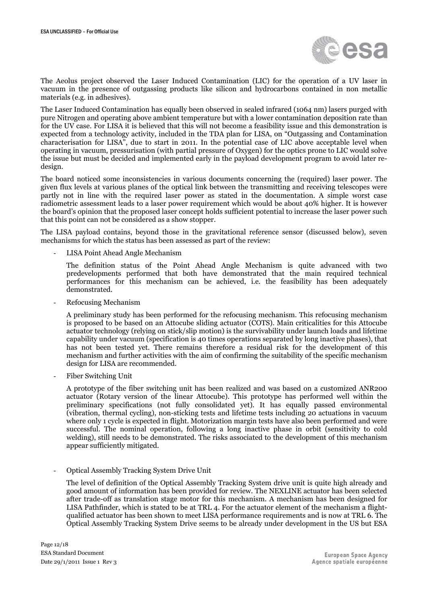

The Aeolus project observed the Laser Induced Contamination (LIC) for the operation of a UV laser in vacuum in the presence of outgassing products like silicon and hydrocarbons contained in non metallic materials (e.g. in adhesives).

The Laser Induced Contamination has equally been observed in sealed infrared (1064 nm) lasers purged with pure Nitrogen and operating above ambient temperature but with a lower contamination deposition rate than for the UV case. For LISA it is believed that this will not become a feasibility issue and this demonstration is expected from a technology activity, included in the TDA plan for LISA, on "Outgassing and Contamination characterisation for LISA", due to start in 2011. In the potential case of LIC above acceptable level when operating in vacuum, pressurisation (with partial pressure of Oxygen) for the optics prone to LIC would solve the issue but must be decided and implemented early in the payload development program to avoid later redesign.

The board noticed some inconsistencies in various documents concerning the (required) laser power. The given flux levels at various planes of the optical link between the transmitting and receiving telescopes were partly not in line with the required laser power as stated in the documentation. A simple worst case radiometric assessment leads to a laser power requirement which would be about 40% higher. It is however the board's opinion that the proposed laser concept holds sufficient potential to increase the laser power such that this point can not be considered as a show stopper.

The LISA payload contains, beyond those in the gravitational reference sensor (discussed below), seven mechanisms for which the status has been assessed as part of the review:

- LISA Point Ahead Angle Mechanism

The definition status of the Point Ahead Angle Mechanism is quite advanced with two predevelopments performed that both have demonstrated that the main required technical performances for this mechanism can be achieved, i.e. the feasibility has been adequately demonstrated.

- Refocusing Mechanism

A preliminary study has been performed for the refocusing mechanism. This refocusing mechanism is proposed to be based on an Attocube sliding actuator (COTS). Main criticalities for this Attocube actuator technology (relying on stick/slip motion) is the survivability under launch loads and lifetime capability under vacuum (specification is 40 times operations separated by long inactive phases), that has not been tested yet. There remains therefore a residual risk for the development of this mechanism and further activities with the aim of confirming the suitability of the specific mechanism design for LISA are recommended.

- Fiber Switching Unit

A prototype of the fiber switching unit has been realized and was based on a customized ANR200 actuator (Rotary version of the linear Attocube). This prototype has performed well within the preliminary specifications (not fully consolidated yet). It has equally passed environmental (vibration, thermal cycling), non-sticking tests and lifetime tests including 20 actuations in vacuum where only 1 cycle is expected in flight. Motorization margin tests have also been performed and were successful. The nominal operation, following a long inactive phase in orbit (sensitivity to cold welding), still needs to be demonstrated. The risks associated to the development of this mechanism appear sufficiently mitigated.

- Optical Assembly Tracking System Drive Unit

The level of definition of the Optical Assembly Tracking System drive unit is quite high already and good amount of information has been provided for review. The NEXLINE actuator has been selected after trade-off as translation stage motor for this mechanism. A mechanism has been designed for LISA Pathfinder, which is stated to be at TRL 4. For the actuator element of the mechanism a flightqualified actuator has been shown to meet LISA performance requirements and is now at TRL 6. The Optical Assembly Tracking System Drive seems to be already under development in the US but ESA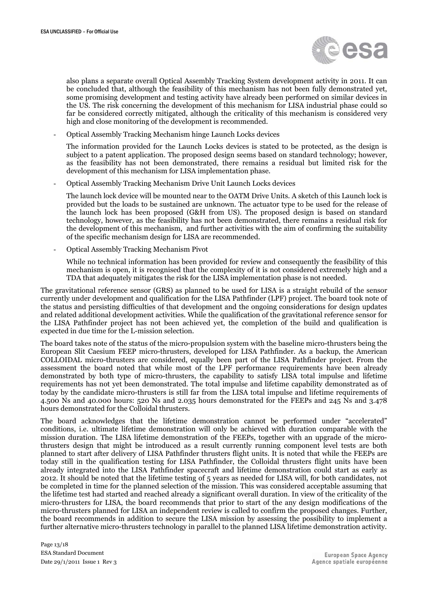

also plans a separate overall Optical Assembly Tracking System development activity in 2011. It can be concluded that, although the feasibility of this mechanism has not been fully demonstrated yet, some promising development and testing activity have already been performed on similar devices in the US. The risk concerning the development of this mechanism for LISA industrial phase could so far be considered correctly mitigated, although the criticality of this mechanism is considered very high and close monitoring of the development is recommended.

- Optical Assembly Tracking Mechanism hinge Launch Locks devices

The information provided for the Launch Locks devices is stated to be protected, as the design is subject to a patent application. The proposed design seems based on standard technology; however, as the feasibility has not been demonstrated, there remains a residual but limited risk for the development of this mechanism for LISA implementation phase.

- Optical Assembly Tracking Mechanism Drive Unit Launch Locks devices

The launch lock device will be mounted near to the OATM Drive Units. A sketch of this Launch lock is provided but the loads to be sustained are unknown. The actuator type to be used for the release of the launch lock has been proposed (G&H from US). The proposed design is based on standard technology, however, as the feasibility has not been demonstrated, there remains a residual risk for the development of this mechanism, and further activities with the aim of confirming the suitability of the specific mechanism design for LISA are recommended.

- Optical Assembly Tracking Mechanism Pivot

While no technical information has been provided for review and consequently the feasibility of this mechanism is open, it is recognised that the complexity of it is not considered extremely high and a TDA that adequately mitigates the risk for the LISA implementation phase is not needed.

The gravitational reference sensor (GRS) as planned to be used for LISA is a straight rebuild of the sensor currently under development and qualification for the LISA Pathfinder (LPF) project. The board took note of the status and persisting difficulties of that development and the ongoing considerations for design updates and related additional development activities. While the qualification of the gravitational reference sensor for the LISA Pathfinder project has not been achieved yet, the completion of the build and qualification is expected in due time for the L-mission selection.

The board takes note of the status of the micro-propulsion system with the baseline micro-thrusters being the European Slit Caesium FEEP micro-thrusters, developed for LISA Pathfinder. As a backup, the American COLLOIDAL micro-thrusters are considered, equally been part of the LISA Pathfinder project. From the assessment the board noted that while most of the LPF performance requirements have been already demonstrated by both type of micro-thrusters, the capability to satisfy LISA total impulse and lifetime requirements has not yet been demonstrated. The total impulse and lifetime capability demonstrated as of today by the candidate micro-thrusters is still far from the LISA total impulse and lifetime requirements of 4.500 Ns and 40.000 hours: 520 Ns and 2.035 hours demonstrated for the FEEPs and 245 Ns and 3.478 hours demonstrated for the Colloidal thrusters.

The board acknowledges that the lifetime demonstration cannot be performed under "accelerated" conditions, i.e. ultimate lifetime demonstration will only be achieved with duration comparable with the mission duration. The LISA lifetime demonstration of the FEEPs, together with an upgrade of the microthrusters design that might be introduced as a result currently running component level tests are both planned to start after delivery of LISA Pathfinder thrusters flight units. It is noted that while the FEEPs are today still in the qualification testing for LISA Pathfinder, the Colloidal thrusters flight units have been already integrated into the LISA Pathfinder spacecraft and lifetime demonstration could start as early as 2012. It should be noted that the lifetime testing of 5 years as needed for LISA will, for both candidates, not be completed in time for the planned selection of the mission. This was considered acceptable assuming that the lifetime test had started and reached already a significant overall duration. In view of the criticality of the micro-thrusters for LISA, the board recommends that prior to start of the any design modifications of the micro-thrusters planned for LISA an independent review is called to confirm the proposed changes. Further, the board recommends in addition to secure the LISA mission by assessing the possibility to implement a further alternative micro-thrusters technology in parallel to the planned LISA lifetime demonstration activity.

Page 13/18 ESA Standard Document Date 29/1/2011 Issue 1 Rev 3

European Space Agency Agence spatiale européenne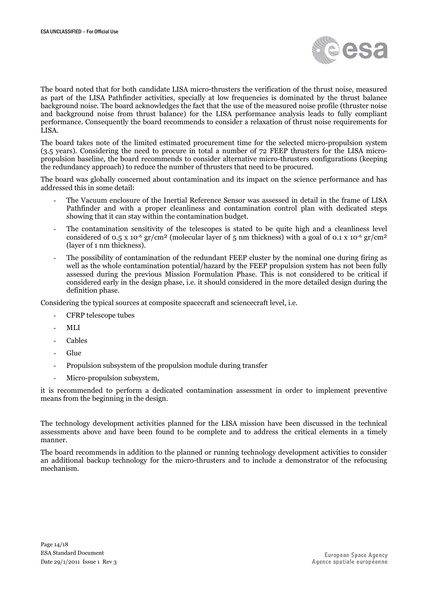

The board noted that for both candidate LISA micro-thrusters the verification of the thrust noise, measured as part of the LISA Pathfinder activities, specially at low frequencies is dominated by the thrust balance background noise. The board acknowledges the fact that the use of the measured noise profile (thruster noise and background noise from thrust balance) for the LISA performance analysis leads to fully compliant performance. Consequently the board recommends to consider a relaxation of thrust noise requirements for LISA.

The board takes note of the limited estimated procurement time for the selected micro-propulsion system (3.5 years). Considering the need to procure in total a number of 72 FEEP thrusters for the LISA micropropulsion baseline, the board recommends to consider alternative micro-thrusters configurations (keeping the redundancy approach) to reduce the number of thrusters that need to be procured.

The board was globally concerned about contamination and its impact on the science performance and has addressed this in some detail:

- The Vacuum enclosure of the Inertial Reference Sensor was assessed in detail in the frame of LISA Pathfinder and with a proper cleanliness and contamination control plan with dedicated steps showing that it can stay within the contamination budget.
- The contamination sensitivity of the telescopes is stated to be quite high and a cleanliness level considered of 0.5 x 10<sup>-6</sup> gr/cm<sup>2</sup> (molecular layer of 5 nm thickness) with a goal of 0.1 x 10<sup>-6</sup> gr/cm<sup>2</sup> (layer of 1 nm thickness).
- The possibility of contamination of the redundant FEEP cluster by the nominal one during firing as well as the whole contamination potential/hazard by the FEEP propulsion system has not been fully assessed during the previous Mission Formulation Phase. This is not considered to be critical if considered early in the design phase, i.e. it should considered in the more detailed design during the definition phase.

Considering the typical sources at composite spacecraft and sciencecraft level, i.e.

- CFRP telescope tubes
- MLI
- **Cables**
- Glue
- Propulsion subsystem of the propulsion module during transfer
- Micro-propulsion subsystem,

it is recommended to perform a dedicated contamination assessment in order to implement preventive means from the beginning in the design.

The technology development activities planned for the LISA mission have been discussed in the technical assessments above and have been found to be complete and to address the critical elements in a timely manner.

The board recommends in addition to the planned or running technology development activities to consider an additional backup technology for the micro-thrusters and to include a demonstrator of the refocusing mechanism.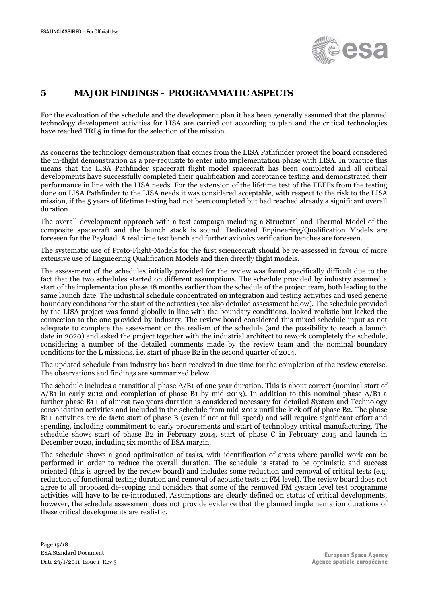

### <span id="page-14-0"></span>**5** 4B**MAJOR FINDINGS – PROGRAMMATIC ASPECTS**

For the evaluation of the schedule and the development plan it has been generally assumed that the planned technology development activities for LISA are carried out according to plan and the critical technologies have reached TRL5 in time for the selection of the mission.

As concerns the technology demonstration that comes from the LISA Pathfinder project the board considered the in-flight demonstration as a pre-requisite to enter into implementation phase with LISA. In practice this means that the LISA Pathfinder spacecraft flight model spacecraft has been completed and all critical developments have successfully completed their qualification and acceptance testing and demonstrated their performance in line with the LISA needs. For the extension of the lifetime test of the FEEPs from the testing done on LISA Pathfinder to the LISA needs it was considered acceptable, with respect to the risk to the LISA mission, if the 5 years of lifetime testing had not been completed but had reached already a significant overall duration.

The overall development approach with a test campaign including a Structural and Thermal Model of the composite spacecraft and the launch stack is sound. Dedicated Engineering/Qualification Models are foreseen for the Payload. A real time test bench and further avionics verification benches are foreseen.

The systematic use of Proto-Flight-Models for the first sciencecraft should be re-assessed in favour of more extensive use of Engineering Qualification Models and then directly flight models.

The assessment of the schedules initially provided for the review was found specifically difficult due to the fact that the two schedules started on different assumptions. The schedule provided by industry assumed a start of the implementation phase 18 months earlier than the schedule of the project team, both leading to the same launch date. The industrial schedule concentrated on integration and testing activities and used generic boundary conditions for the start of the activities (see also detailed assessment below). The schedule provided by the LISA project was found globally in line with the boundary conditions, looked realistic but lacked the connection to the one provided by industry. The review board considered this mixed schedule input as not adequate to complete the assessment on the realism of the schedule (and the possibility to reach a launch date in 2020) and asked the project together with the industrial architect to rework completely the schedule, considering a number of the detailed comments made by the review team and the nominal boundary conditions for the L missions, i.e. start of phase B2 in the second quarter of 2014.

The updated schedule from industry has been received in due time for the completion of the review exercise. The observations and findings are summarized below.

The schedule includes a transitional phase A/B1 of one year duration. This is about correct (nominal start of A/B1 in early 2012 and completion of phase B1 by mid 2013). In addition to this nominal phase A/B1 a further phase B1+ of almost two years duration is considered necessary for detailed System and Technology consolidation activities and included in the schedule from mid-2012 until the kick off of phase B2. The phase B1+ activities are de-facto start of phase B (even if not at full speed) and will require significant effort and spending, including commitment to early procurements and start of technology critical manufacturing. The schedule shows start of phase B2 in February 2014, start of phase C in February 2015 and launch in December 2020, including six months of ESA margin.

The schedule shows a good optimisation of tasks, with identification of areas where parallel work can be performed in order to reduce the overall duration. The schedule is stated to be optimistic and success oriented (this is agreed by the review board) and includes some reduction and removal of critical tests (e.g. reduction of functional testing duration and removal of acoustic tests at FM level). The review board does not agree to all proposed de-scoping and considers that some of the removed FM system level test programme activities will have to be re-introduced. Assumptions are clearly defined on status of critical developments, however, the schedule assessment does not provide evidence that the planned implementation durations of these critical developments are realistic.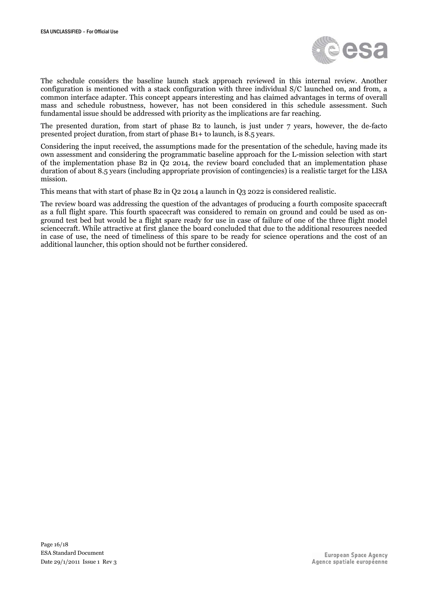

The schedule considers the baseline launch stack approach reviewed in this internal review. Another configuration is mentioned with a stack configuration with three individual S/C launched on, and from, a common interface adapter. This concept appears interesting and has claimed advantages in terms of overall mass and schedule robustness, however, has not been considered in this schedule assessment. Such fundamental issue should be addressed with priority as the implications are far reaching.

The presented duration, from start of phase B2 to launch, is just under 7 years, however, the de-facto presented project duration, from start of phase B1+ to launch, is 8.5 years.

Considering the input received, the assumptions made for the presentation of the schedule, having made its own assessment and considering the programmatic baseline approach for the L-mission selection with start of the implementation phase B2 in Q2 2014, the review board concluded that an implementation phase duration of about 8.5 years (including appropriate provision of contingencies) is a realistic target for the LISA mission.

This means that with start of phase B2 in Q2 2014 a launch in Q3 2022 is considered realistic.

The review board was addressing the question of the advantages of producing a fourth composite spacecraft as a full flight spare. This fourth spacecraft was considered to remain on ground and could be used as onground test bed but would be a flight spare ready for use in case of failure of one of the three flight model sciencecraft. While attractive at first glance the board concluded that due to the additional resources needed in case of use, the need of timeliness of this spare to be ready for science operations and the cost of an additional launcher, this option should not be further considered.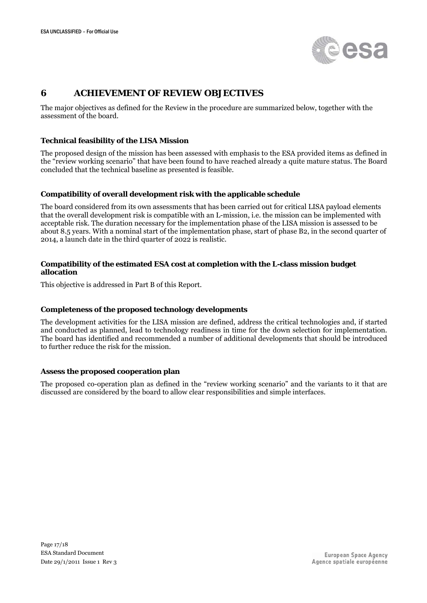

### <span id="page-16-0"></span>**6** 5**BBACHIEVEMENT OF REVIEW OBJECTIVES**

The major objectives as defined for the Review in the procedure are summarized below, together with the assessment of the board.

#### **Technical feasibility of the LISA Mission**

The proposed design of the mission has been assessed with emphasis to the ESA provided items as defined in the "review working scenario" that have been found to have reached already a quite mature status. The Board concluded that the technical baseline as presented is feasible.

#### **Compatibility of overall development risk with the applicable schedule**

The board considered from its own assessments that has been carried out for critical LISA payload elements that the overall development risk is compatible with an L-mission, i.e. the mission can be implemented with acceptable risk. The duration necessary for the implementation phase of the LISA mission is assessed to be about 8.5 years. With a nominal start of the implementation phase, start of phase B2, in the second quarter of 2014, a launch date in the third quarter of 2022 is realistic.

#### **Compatibility of the estimated ESA cost at completion with the L-class mission budget allocation**

This objective is addressed in Part B of this Report.

#### **Completeness of the proposed technology developments**

The development activities for the LISA mission are defined, address the critical technologies and, if started and conducted as planned, lead to technology readiness in time for the down selection for implementation. The board has identified and recommended a number of additional developments that should be introduced to further reduce the risk for the mission.

#### **Assess the proposed cooperation plan**

The proposed co-operation plan as defined in the "review working scenario" and the variants to it that are discussed are considered by the board to allow clear responsibilities and simple interfaces.